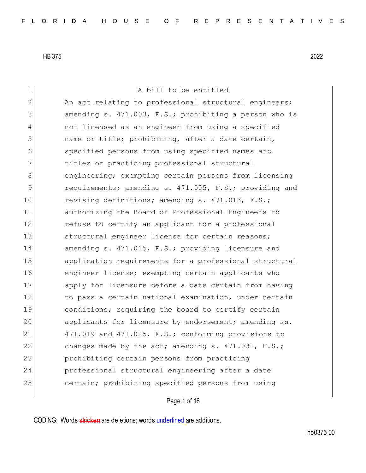1 A bill to be entitled 2 An act relating to professional structural engineers; 3 3 3 amending s. 471.003, F.S.; prohibiting a person who is 4 not licensed as an engineer from using a specified 5 name or title; prohibiting, after a date certain, 6 specified persons from using specified names and 7 titles or practicing professional structural 8 engineering; exempting certain persons from licensing 9 requirements; amending s. 471.005, F.S.; providing and 10 revising definitions; amending s. 471.013, F.S.; 11 authorizing the Board of Professional Engineers to 12 **12** refuse to certify an applicant for a professional 13 Structural engineer license for certain reasons; 14 amending s. 471.015, F.S.; providing licensure and 15 application requirements for a professional structural 16 engineer license; exempting certain applicants who 17 apply for licensure before a date certain from having 18 to pass a certain national examination, under certain 19 conditions; requiring the board to certify certain 20 applicants for licensure by endorsement; amending ss. 21 471.019 and 471.025, F.S.; conforming provisions to 22 changes made by the act; amending s. 471.031, F.S.; 23 prohibiting certain persons from practicing 24 professional structural engineering after a date 25 certain; prohibiting specified persons from using

Page 1 of 16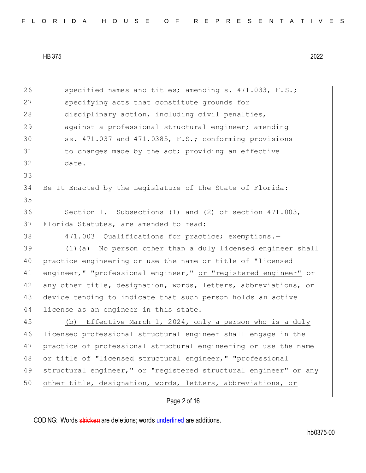Page 2 of 16 26 specified names and titles; amending s. 471.033, F.S.; 27 Specifying acts that constitute grounds for 28 disciplinary action, including civil penalties, 29 against a professional structural engineer; amending 30 ss. 471.037 and 471.0385, F.S.; conforming provisions 31 to changes made by the act; providing an effective 32 date. 33 34 Be It Enacted by the Legislature of the State of Florida: 35 36 Section 1. Subsections (1) and (2) of section 471.003, 37 Florida Statutes, are amended to read: 38 471.003 Qualifications for practice; exemptions. 39 (1)(a) No person other than a duly licensed engineer shall 40 | practice engineering or use the name or title of "licensed 41 engineer," "professional engineer," or "registered engineer" or 42 any other title, designation, words, letters, abbreviations, or 43 device tending to indicate that such person holds an active 44 license as an engineer in this state. 45 (b) Effective March 1, 2024, only a person who is a duly 46 licensed professional structural engineer shall engage in the 47 practice of professional structural engineering or use the name 48 or title of "licensed structural engineer," "professional 49 structural engineer," or "registered structural engineer" or any 50 other title, designation, words, letters, abbreviations, or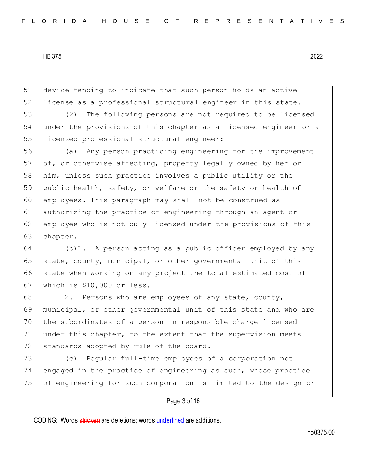51 device tending to indicate that such person holds an active 52 license as a professional structural engineer in this state. 53 (2) The following persons are not required to be licensed 54 under the provisions of this chapter as a licensed engineer or a 55 llicensed professional structural engineer: 56 (a) Any person practicing engineering for the improvement 57 of, or otherwise affecting, property legally owned by her or 58 him, unless such practice involves a public utility or the 59 public health, safety, or welfare or the safety or health of 60 employees. This paragraph may shall not be construed as 61 authorizing the practice of engineering through an agent or

 $62$  employee who is not duly licensed under the provisions of this 63 chapter.

64 (b)1. A person acting as a public officer employed by any 65 state, county, municipal, or other governmental unit of this 66 state when working on any project the total estimated cost of 67 | which is \$10,000 or less.

68 2. Persons who are employees of any state, county, 69 municipal, or other governmental unit of this state and who are 70 the subordinates of a person in responsible charge licensed 71 under this chapter, to the extent that the supervision meets 72 standards adopted by rule of the board.

73 (c) Regular full-time employees of a corporation not 74 engaged in the practice of engineering as such, whose practice 75 of engineering for such corporation is limited to the design or

## Page 3 of 16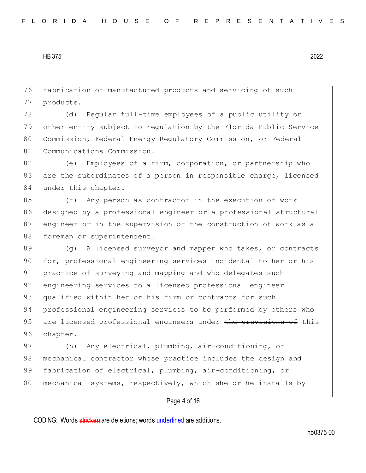76 fabrication of manufactured products and servicing of such 77 products.

78 (d) Regular full-time employees of a public utility or 79 other entity subject to regulation by the Florida Public Service 80 Commission, Federal Energy Regulatory Commission, or Federal 81 Communications Commission.

82 (e) Employees of a firm, corporation, or partnership who 83 are the subordinates of a person in responsible charge, licensed 84 under this chapter.

85 (f) Any person as contractor in the execution of work 86 designed by a professional engineer or a professional structural 87 engineer or in the supervision of the construction of work as a 88 foreman or superintendent.

89 (g) A licensed surveyor and mapper who takes, or contracts 90 for, professional engineering services incidental to her or his 91 practice of surveying and mapping and who delegates such 92 engineering services to a licensed professional engineer 93 qualified within her or his firm or contracts for such 94 professional engineering services to be performed by others who 95 are licensed professional engineers under the provisions of this 96 chapter.

97 (h) Any electrical, plumbing, air-conditioning, or 98 mechanical contractor whose practice includes the design and 99 fabrication of electrical, plumbing, air-conditioning, or 100 mechanical systems, respectively, which she or he installs by

## Page 4 of 16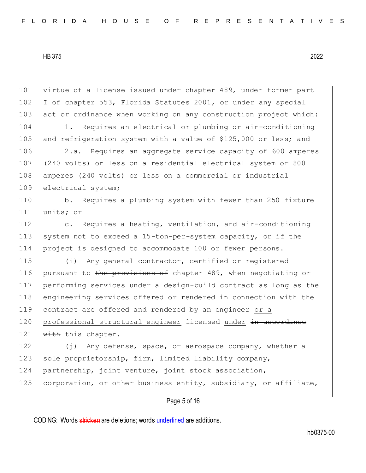101 virtue of a license issued under chapter 489, under former part 102 I of chapter 553, Florida Statutes 2001, or under any special 103 act or ordinance when working on any construction project which:

104 1. Requires an electrical or plumbing or air-conditioning 105 and refrigeration system with a value of \$125,000 or less; and

 2.a. Requires an aggregate service capacity of 600 amperes (240 volts) or less on a residential electrical system or 800 amperes (240 volts) or less on a commercial or industrial 109 electrical system;

110 b. Requires a plumbing system with fewer than 250 fixture 111 units; or

112 c. Requires a heating, ventilation, and air-conditioning 113 system not to exceed a 15-ton-per-system capacity, or if the 114 project is designed to accommodate 100 or fewer persons.

 (i) Any general contractor, certified or registered 116 pursuant to the provisions of chapter 489, when negotiating or performing services under a design-build contract as long as the engineering services offered or rendered in connection with the contract are offered and rendered by an engineer or a 120 professional structural engineer licensed under in accordance with this chapter.

122 (j) Any defense, space, or aerospace company, whether a 123 sole proprietorship, firm, limited liability company, 124 partnership, joint venture, joint stock association, 125 corporation, or other business entity, subsidiary, or affiliate,

Page 5 of 16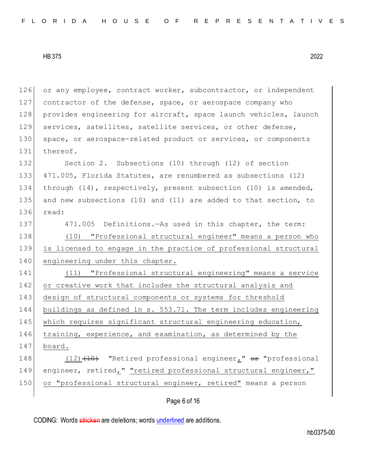126 or any employee, contract worker, subcontractor, or independent 127 contractor of the defense, space, or aerospace company who 128 provides engineering for aircraft, space launch vehicles, launch 129 services, satellites, satellite services, or other defense, 130 space, or aerospace-related product or services, or components 131 thereof. 132 Section 2. Subsections (10) through (12) of section 133 471.005, Florida Statutes, are renumbered as subsections (12) 134 through (14), respectively, present subsection (10) is amended, 135 and new subsections (10) and (11) are added to that section, to 136 read: 137 471.005 Definitions.—As used in this chapter, the term: 138 (10) "Professional structural engineer" means a person who 139 is licensed to engage in the practice of professional structural 140 engineering under this chapter. 141 (11) "Professional structural engineering" means a service 142 or creative work that includes the structural analysis and 143 design of structural components or systems for threshold 144 buildings as defined in s. 553.71. The term includes engineering 145 which requires significant structural engineering education, 146 training, experience, and examination, as determined by the 147 board. 148  $(12)$   $(10)$  "Retired professional engineer," or "professional 149 engineer, retired," "retired professional structural engineer," 150 or "professional structural engineer, retired" means a person

Page 6 of 16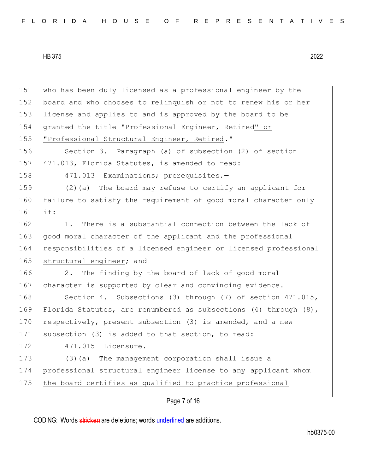| 151 | who has been duly licensed as a professional engineer by the          |
|-----|-----------------------------------------------------------------------|
| 152 | board and who chooses to relinquish or not to renew his or her        |
| 153 | license and applies to and is approved by the board to be             |
| 154 | granted the title "Professional Engineer, Retired" or                 |
| 155 | "Professional Structural Engineer, Retired."                          |
| 156 | Section 3. Paragraph (a) of subsection (2) of section                 |
| 157 | 471.013, Florida Statutes, is amended to read:                        |
| 158 | 471.013 Examinations; prerequisites.-                                 |
| 159 | $(2)$ (a) The board may refuse to certify an applicant for            |
| 160 | failure to satisfy the requirement of good moral character only       |
| 161 | if:                                                                   |
| 162 | There is a substantial connection between the lack of<br>1.           |
| 163 | good moral character of the applicant and the professional            |
| 164 | responsibilities of a licensed engineer or licensed professional      |
| 165 | structural engineer; and                                              |
| 166 | The finding by the board of lack of good moral<br>2.                  |
| 167 | character is supported by clear and convincing evidence.              |
| 168 | Section 4. Subsections (3) through (7) of section 471.015,            |
| 169 | Florida Statutes, are renumbered as subsections $(4)$ through $(8)$ , |
| 170 | respectively, present subsection (3) is amended, and a new            |
| 171 | subsection (3) is added to that section, to read:                     |
| 172 | 471.015 Licensure.-                                                   |
| 173 | The management corporation shall issue a<br>(3)(a)                    |
| 174 | professional structural engineer license to any applicant whom        |
| 175 | the board certifies as qualified to practice professional             |
|     |                                                                       |

Page 7 of 16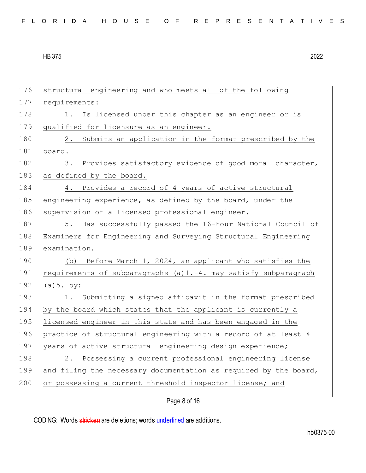| 176 | structural engineering and who meets all of the following        |
|-----|------------------------------------------------------------------|
| 177 | requirements:                                                    |
| 178 | Is licensed under this chapter as an engineer or is<br>1.        |
| 179 | qualified for licensure as an engineer.                          |
| 180 | 2. Submits an application in the format prescribed by the        |
| 181 | board.                                                           |
| 182 | Provides satisfactory evidence of good moral character,<br>3.    |
| 183 | as defined by the board.                                         |
| 184 | 4. Provides a record of 4 years of active structural             |
| 185 | engineering experience, as defined by the board, under the       |
| 186 | supervision of a licensed professional engineer.                 |
| 187 | 5. Has successfully passed the 16-hour National Council of       |
| 188 | Examiners for Engineering and Surveying Structural Engineering   |
| 189 | examination.                                                     |
| 190 | (b) Before March 1, 2024, an applicant who satisfies the         |
| 191 | requirements of subparagraphs (a)1.-4. may satisfy subparagraph  |
| 192 | (a) 5. by:                                                       |
| 193 | 1. Submitting a signed affidavit in the format prescribed        |
| 194 | by the board which states that the applicant is currently a      |
| 195 | licensed engineer in this state and has been engaged in the      |
| 196 | practice of structural engineering with a record of at least 4   |
| 197 | years of active structural engineering design experience;        |
| 198 | Possessing a current professional engineering license<br>2.      |
| 199 | and filing the necessary documentation as required by the board, |
| 200 | or possessing a current threshold inspector license; and         |
|     | Page 8 of 16                                                     |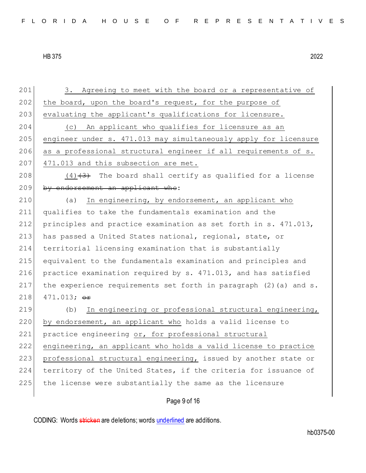201 3. Agreeing to meet with the board or a representative of 202 the board, upon the board's request, for the purpose of 203 evaluating the applicant's qualifications for licensure. 204 (c) An applicant who qualifies for licensure as an 205 engineer under s. 471.013 may simultaneously apply for licensure 206 as a professional structural engineer if all requirements of s. 207 471.013 and this subsection are met. 208  $(4)$   $(3)$  The board shall certify as qualified for a license 209 by endorsement an applicant who: 210 (a) In engineering, by endorsement, an applicant who 211 qualifies to take the fundamentals examination and the 212 principles and practice examination as set forth in s. 471.013, 213 has passed a United States national, regional, state, or 214 territorial licensing examination that is substantially 215 equivalent to the fundamentals examination and principles and 216 practice examination required by s. 471.013, and has satisfied 217 the experience requirements set forth in paragraph (2)(a) and s. 218 471.013;  $\Theta$ **F** 219 (b) In engineering or professional structural engineering, 220 by endorsement, an applicant who holds a valid license to 221 practice engineering or, for professional structural 222 engineering, an applicant who holds a valid license to practice 223 professional structural engineering, issued by another state or 224 territory of the United States, if the criteria for issuance of 225 the license were substantially the same as the licensure

Page 9 of 16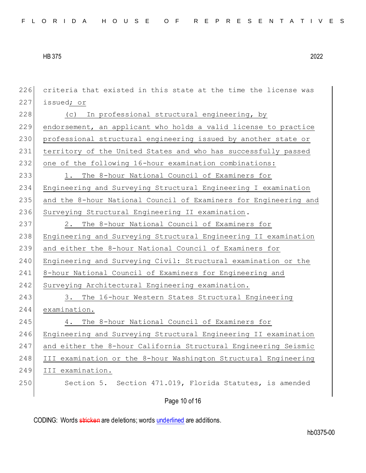Page 10 of 16 criteria that existed in this state at the time the license was issued; or 228 (c) In professional structural engineering, by endorsement, an applicant who holds a valid license to practice professional structural engineering issued by another state or 231 territory of the United States and who has successfully passed one of the following 16-hour examination combinations: 1. The 8-hour National Council of Examiners for Engineering and Surveying Structural Engineering I examination 235 and the 8-hour National Council of Examiners for Engineering and Surveying Structural Engineering II examination. 237 2. The 8-hour National Council of Examiners for Engineering and Surveying Structural Engineering II examination and either the 8-hour National Council of Examiners for Engineering and Surveying Civil: Structural examination or the 241 8-hour National Council of Examiners for Engineering and 242 Surveying Architectural Engineering examination. 243 3. The 16-hour Western States Structural Engineering examination. 245 4. The 8-hour National Council of Examiners for Engineering and Surveying Structural Engineering II examination and either the 8-hour California Structural Engineering Seismic III examination or the 8-hour Washington Structural Engineering III examination. Section 5. Section 471.019, Florida Statutes, is amended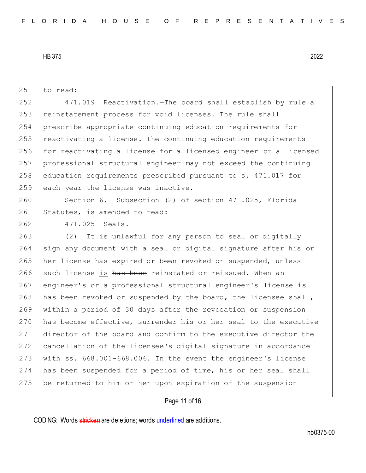251 to read:

252 471.019 Reactivation.—The board shall establish by rule a 253 reinstatement process for void licenses. The rule shall 254 prescribe appropriate continuing education requirements for 255 reactivating a license. The continuing education requirements 256 for reactivating a license for a licensed engineer or a licensed 257 professional structural engineer may not exceed the continuing 258 education requirements prescribed pursuant to s. 471.017 for 259 each year the license was inactive.

260 Section 6. Subsection (2) of section 471.025, Florida 261 Statutes, is amended to read:

262 471.025 Seals.-

263 (2) It is unlawful for any person to seal or digitally sign any document with a seal or digital signature after his or 265 her license has expired or been revoked or suspended, unless 266 such license is has been reinstated or reissued. When an 267 engineer's or a professional structural engineer's license is has been revoked or suspended by the board, the licensee shall, within a period of 30 days after the revocation or suspension 270 has become effective, surrender his or her seal to the executive director of the board and confirm to the executive director the cancellation of the licensee's digital signature in accordance with ss. 668.001-668.006. In the event the engineer's license has been suspended for a period of time, his or her seal shall be returned to him or her upon expiration of the suspension

## Page 11 of 16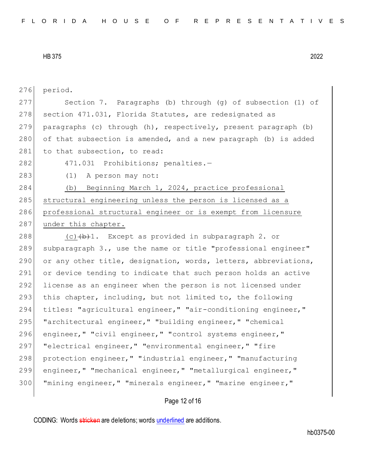| 276 | period.                                                         |
|-----|-----------------------------------------------------------------|
| 277 | Section 7. Paragraphs (b) through (g) of subsection (1) of      |
| 278 | section 471.031, Florida Statutes, are redesignated as          |
| 279 | paragraphs (c) through (h), respectively, present paragraph (b) |
| 280 | of that subsection is amended, and a new paragraph (b) is added |
| 281 | to that subsection, to read:                                    |
| 282 | 471.031 Prohibitions; penalties.-                               |
| 283 | A person may not:<br>(1)                                        |
| 284 | Beginning March 1, 2024, practice professional<br>(b)           |
| 285 | structural engineering unless the person is licensed as a       |
| 286 | professional structural engineer or is exempt from licensure    |
| 287 | under this chapter.                                             |
| 288 | $(c)$ $(b+1)$ . Except as provided in subparagraph 2. or        |
| 289 | subparagraph 3., use the name or title "professional engineer"  |
| 290 | or any other title, designation, words, letters, abbreviations, |
| 291 | or device tending to indicate that such person holds an active  |
| 292 | license as an engineer when the person is not licensed under    |
| 293 | this chapter, including, but not limited to, the following      |
| 294 | titles: "agricultural engineer," "air-conditioning engineer,"   |
| 295 | "architectural engineer," "building engineer," "chemical        |
| 296 | engineer, " "civil engineer, " "control systems engineer, "     |
| 297 | "electrical engineer," "environmental engineer," "fire          |
| 298 | protection engineer, " "industrial engineer, " "manufacturing   |
| 299 | engineer, " "mechanical engineer, " "metallurgical engineer, "  |
| 300 | "mining engineer," "minerals engineer," "marine engineer,"      |
|     |                                                                 |

Page 12 of 16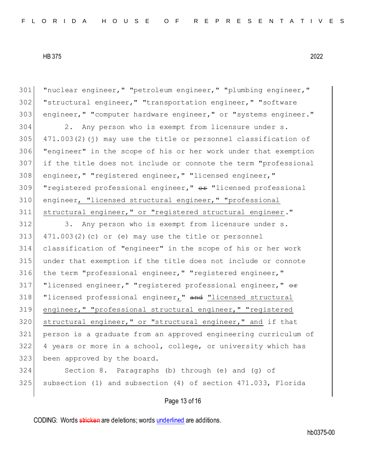"nuclear engineer," "petroleum engineer," "plumbing engineer," "structural engineer," "transportation engineer," "software engineer," "computer hardware engineer," or "systems engineer." 304 2. Any person who is exempt from licensure under s.  $471.003(2)(i)$  may use the title or personnel classification of "engineer" in the scope of his or her work under that exemption if the title does not include or connote the term "professional 308 engineer, " "registered engineer, " "licensed engineer, " 309 "registered professional engineer,"  $\theta$  and "licensed professional" engineer, "licensed structural engineer," "professional structural engineer," or "registered structural engineer." 312 3. Any person who is exempt from licensure under s. 471.003(2)(c) or (e) may use the title or personnel classification of "engineer" in the scope of his or her work under that exemption if the title does not include or connote 316 the term "professional engineer," "registered engineer," 317 "licensed engineer," "registered professional engineer,"  $\theta$ 318 | "licensed professional engineer," and "licensed structural engineer," "professional structural engineer," "registered 320 structural engineer," or "structural engineer," and if that person is a graduate from an approved engineering curriculum of 4 years or more in a school, college, or university which has 323 been approved by the board. Section 8. Paragraphs (b) through (e) and (g) of subsection (1) and subsection (4) of section 471.033, Florida

Page 13 of 16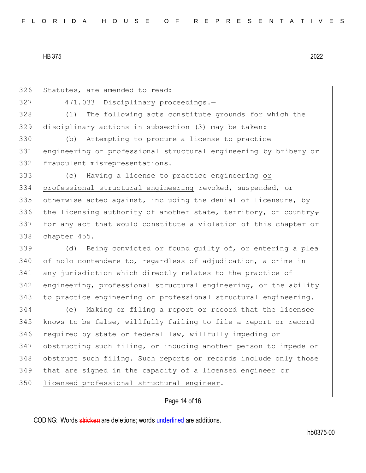326 Statutes, are amended to read: 327 471.033 Disciplinary proceedings.-328 (1) The following acts constitute grounds for which the 329 disciplinary actions in subsection (3) may be taken: 330 (b) Attempting to procure a license to practice 331 engineering or professional structural engineering by bribery or 332 fraudulent misrepresentations. 333 (c) Having a license to practice engineering or 334 professional structural engineering revoked, suspended, or 335 otherwise acted against, including the denial of licensure, by 336 the licensing authority of another state, territory, or country, 337 for any act that would constitute a violation of this chapter or 338 chapter 455. 339 (d) Being convicted or found guilty of, or entering a plea 340 of nolo contendere to, regardless of adjudication, a crime in 341 any jurisdiction which directly relates to the practice of 342 engineering, professional structural engineering, or the ability 343 to practice engineering or professional structural engineering. 344 (e) Making or filing a report or record that the licensee 345 knows to be false, willfully failing to file a report or record 346 required by state or federal law, willfully impeding or 347 obstructing such filing, or inducing another person to impede or 348 obstruct such filing. Such reports or records include only those 349 that are signed in the capacity of a licensed engineer or 350 licensed professional structural engineer.

# Page 14 of 16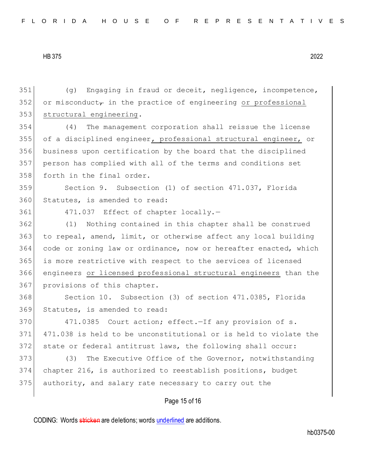Page 15 of 16 351 (g) Engaging in fraud or deceit, negligence, incompetence,  $352$  or misconduct<sub>r</sub> in the practice of engineering or professional 353 structural engineering. 354 (4) The management corporation shall reissue the license 355 of a disciplined engineer, professional structural engineer, or 356 business upon certification by the board that the disciplined 357 person has complied with all of the terms and conditions set 358 forth in the final order. 359 Section 9. Subsection (1) of section 471.037, Florida 360 Statutes, is amended to read: 361 471.037 Effect of chapter locally.-362 (1) Nothing contained in this chapter shall be construed 363 to repeal, amend, limit, or otherwise affect any local building 364 code or zoning law or ordinance, now or hereafter enacted, which 365 is more restrictive with respect to the services of licensed 366 engineers or licensed professional structural engineers than the 367 provisions of this chapter. 368 Section 10. Subsection (3) of section 471.0385, Florida 369 Statutes, is amended to read: 370 471.0385 Court action; effect. - If any provision of s. 371 471.038 is held to be unconstitutional or is held to violate the 372 state or federal antitrust laws, the following shall occur: 373 (3) The Executive Office of the Governor, notwithstanding 374 chapter 216, is authorized to reestablish positions, budget 375 authority, and salary rate necessary to carry out the